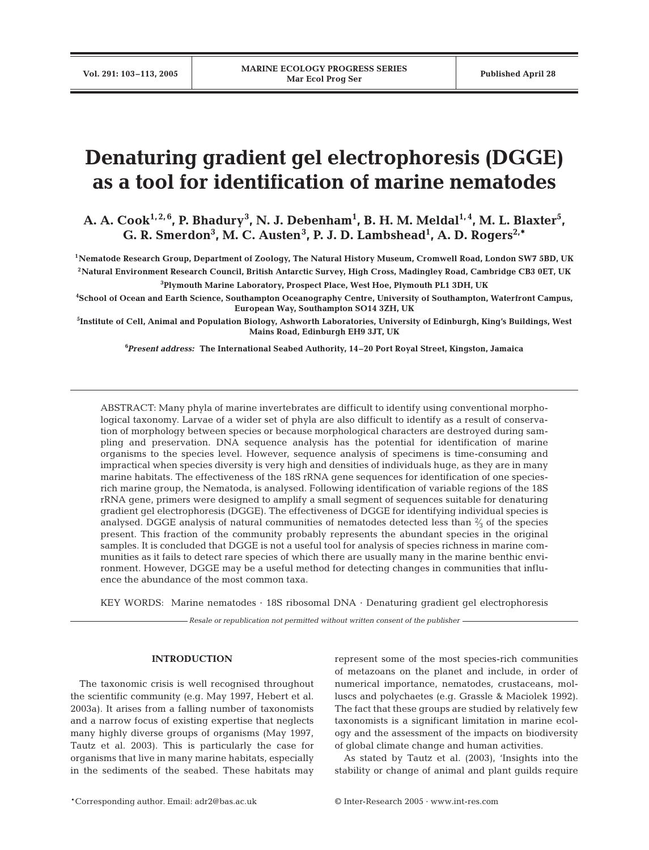# **Denaturing gradient gel electrophoresis (DGGE) as a tool for identification of marine nematodes**

A. A. Cook<sup>1,2,6</sup>, P. Bhadury<sup>3</sup>, N. J. Debenham<sup>1</sup>, B. H. M. Meldal<sup>1,4</sup>, M. L. Blaxter<sup>5</sup>, G. R. Smerdon<sup>3</sup>, M. C. Austen<sup>3</sup>, P. J. D. Lambshead<sup>1</sup>, A. D. Rogers<sup>2,\*</sup>

**1Nematode Research Group, Department of Zoology, The Natural History Museum, Cromwell Road, London SW7 5BD, UK 2Natural Environment Research Council, British Antarctic Survey, High Cross, Madingley Road, Cambridge CB3 0ET, UK 3 Plymouth Marine Laboratory, Prospect Place, West Hoe, Plymouth PL1 3DH, UK**

**4 School of Ocean and Earth Science, Southampton Oceanography Centre, University of Southampton, Waterfront Campus, European Way, Southampton SO14 3ZH, UK**

**5 Institute of Cell, Animal and Population Biology, Ashworth Laboratories, University of Edinburgh, King's Buildings, West Mains Road, Edinburgh EH9 3JT, UK**

**6** *Present address:* **The International Seabed Authority, 14–20 Port Royal Street, Kingston, Jamaica**

ABSTRACT: Many phyla of marine invertebrates are difficult to identify using conventional morphological taxonomy. Larvae of a wider set of phyla are also difficult to identify as a result of conservation of morphology between species or because morphological characters are destroyed during sampling and preservation. DNA sequence analysis has the potential for identification of marine organisms to the species level. However, sequence analysis of specimens is time-consuming and impractical when species diversity is very high and densities of individuals huge, as they are in many marine habitats. The effectiveness of the 18S rRNA gene sequences for identification of one speciesrich marine group, the Nematoda, is analysed. Following identification of variable regions of the 18S rRNA gene, primers were designed to amplify a small segment of sequences suitable for denaturing gradient gel electrophoresis (DGGE). The effectiveness of DGGE for identifying individual species is analysed. DGGE analysis of natural communities of nematodes detected less than  $\frac{2}{3}$  of the species present. This fraction of the community probably represents the abundant species in the original samples. It is concluded that DGGE is not a useful tool for analysis of species richness in marine communities as it fails to detect rare species of which there are usually many in the marine benthic environment. However, DGGE may be a useful method for detecting changes in communities that influence the abundance of the most common taxa.

KEY WORDS: Marine nematodes  $\cdot$  18S ribosomal DNA  $\cdot$  Denaturing gradient gel electrophoresis

*Resale or republication not permitted without written consent of the publisher*

### **INTRODUCTION**

The taxonomic crisis is well recognised throughout the scientific community (e.g. May 1997, Hebert et al. 2003a). It arises from a falling number of taxonomists and a narrow focus of existing expertise that neglects many highly diverse groups of organisms (May 1997, Tautz et al. 2003). This is particularly the case for organisms that live in many marine habitats, especially in the sediments of the seabed. These habitats may represent some of the most species-rich communities of metazoans on the planet and include, in order of numerical importance, nematodes, crustaceans, molluscs and polychaetes (e.g. Grassle & Maciolek 1992). The fact that these groups are studied by relatively few taxonomists is a significant limitation in marine ecology and the assessment of the impacts on biodiversity of global climate change and human activities.

As stated by Tautz et al. (2003), 'Insights into the stability or change of animal and plant guilds require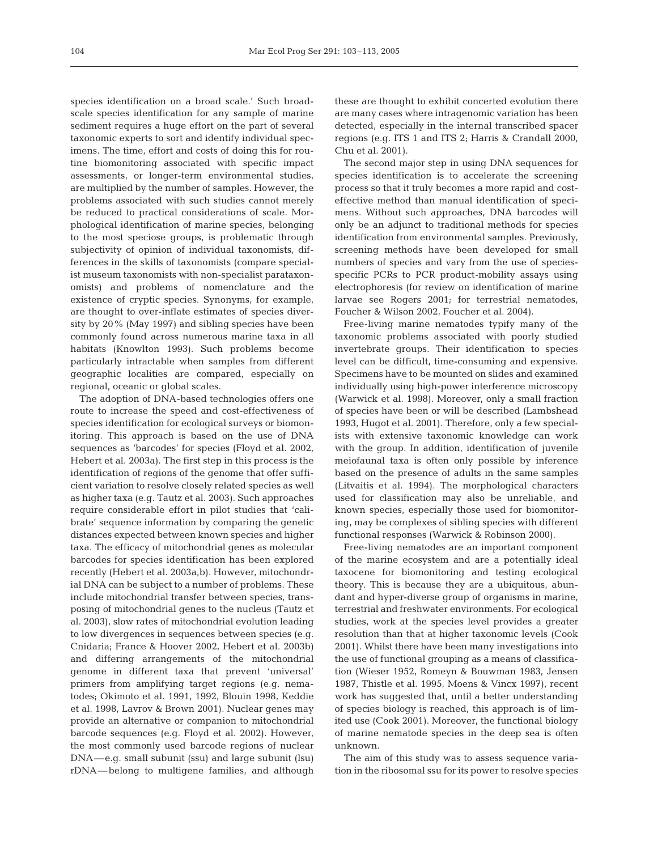species identification on a broad scale.' Such broadscale species identification for any sample of marine sediment requires a huge effort on the part of several taxonomic experts to sort and identify individual specimens. The time, effort and costs of doing this for routine biomonitoring associated with specific impact assessments, or longer-term environmental studies, are multiplied by the number of samples. However, the problems associated with such studies cannot merely be reduced to practical considerations of scale. Morphological identification of marine species, belonging to the most speciose groups, is problematic through subjectivity of opinion of individual taxonomists, differences in the skills of taxonomists (compare specialist museum taxonomists with non-specialist parataxonomists) and problems of nomenclature and the existence of cryptic species. Synonyms, for example, are thought to over-inflate estimates of species diversity by 20% (May 1997) and sibling species have been commonly found across numerous marine taxa in all habitats (Knowlton 1993). Such problems become particularly intractable when samples from different geographic localities are compared, especially on regional, oceanic or global scales.

The adoption of DNA-based technologies offers one route to increase the speed and cost-effectiveness of species identification for ecological surveys or biomonitoring. This approach is based on the use of DNA sequences as 'barcodes' for species (Floyd et al. 2002, Hebert et al. 2003a). The first step in this process is the identification of regions of the genome that offer sufficient variation to resolve closely related species as well as higher taxa (e.g. Tautz et al. 2003). Such approaches require considerable effort in pilot studies that 'calibrate' sequence information by comparing the genetic distances expected between known species and higher taxa. The efficacy of mitochondrial genes as molecular barcodes for species identification has been explored recently (Hebert et al. 2003a,b). However, mitochondrial DNA can be subject to a number of problems. These include mitochondrial transfer between species, transposing of mitochondrial genes to the nucleus (Tautz et al. 2003), slow rates of mitochondrial evolution leading to low divergences in sequences between species (e.g. Cnidaria; France & Hoover 2002, Hebert et al. 2003b) and differing arrangements of the mitochondrial genome in different taxa that prevent 'universal' primers from amplifying target regions (e.g. nematodes; Okimoto et al. 1991, 1992, Blouin 1998, Keddie et al. 1998, Lavrov & Brown 2001). Nuclear genes may provide an alternative or companion to mitochondrial barcode sequences (e.g. Floyd et al. 2002). However, the most commonly used barcode regions of nuclear DNA—e.g. small subunit (ssu) and large subunit (lsu) rDNA—belong to multigene families, and although

these are thought to exhibit concerted evolution there are many cases where intragenomic variation has been detected, especially in the internal transcribed spacer regions (e.g. ITS 1 and ITS 2; Harris & Crandall 2000, Chu et al. 2001).

The second major step in using DNA sequences for species identification is to accelerate the screening process so that it truly becomes a more rapid and costeffective method than manual identification of specimens. Without such approaches, DNA barcodes will only be an adjunct to traditional methods for species identification from environmental samples. Previously, screening methods have been developed for small numbers of species and vary from the use of speciesspecific PCRs to PCR product-mobility assays using electrophoresis (for review on identification of marine larvae see Rogers 2001; for terrestrial nematodes, Foucher & Wilson 2002, Foucher et al. 2004).

Free-living marine nematodes typify many of the taxonomic problems associated with poorly studied invertebrate groups. Their identification to species level can be difficult, time-consuming and expensive. Specimens have to be mounted on slides and examined individually using high-power interference microscopy (Warwick et al. 1998). Moreover, only a small fraction of species have been or will be described (Lambshead 1993, Hugot et al. 2001). Therefore, only a few specialists with extensive taxonomic knowledge can work with the group. In addition, identification of juvenile meiofaunal taxa is often only possible by inference based on the presence of adults in the same samples (Litvaitis et al. 1994). The morphological characters used for classification may also be unreliable, and known species, especially those used for biomonitoring, may be complexes of sibling species with different functional responses (Warwick & Robinson 2000).

Free-living nematodes are an important component of the marine ecosystem and are a potentially ideal taxocene for biomonitoring and testing ecological theory. This is because they are a ubiquitous, abundant and hyper-diverse group of organisms in marine, terrestrial and freshwater environments. For ecological studies, work at the species level provides a greater resolution than that at higher taxonomic levels (Cook 2001). Whilst there have been many investigations into the use of functional grouping as a means of classification (Wieser 1952, Romeyn & Bouwman 1983, Jensen 1987, Thistle et al. 1995, Moens & Vincx 1997), recent work has suggested that, until a better understanding of species biology is reached, this approach is of limited use (Cook 2001). Moreover, the functional biology of marine nematode species in the deep sea is often unknown.

The aim of this study was to assess sequence variation in the ribosomal ssu for its power to resolve species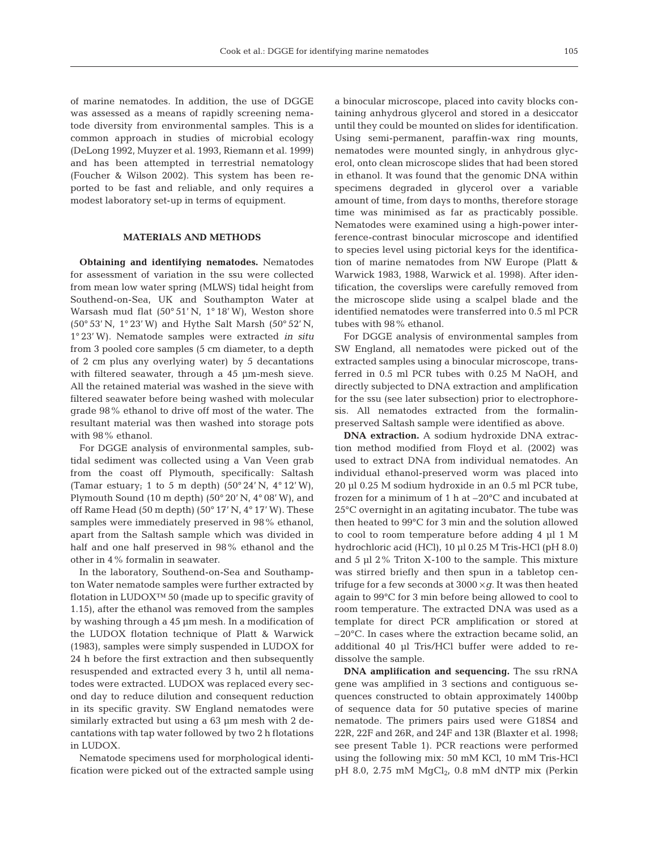of marine nematodes. In addition, the use of DGGE was assessed as a means of rapidly screening nematode diversity from environmental samples. This is a common approach in studies of microbial ecology (DeLong 1992, Muyzer et al. 1993, Riemann et al. 1999) and has been attempted in terrestrial nematology (Foucher & Wilson 2002). This system has been reported to be fast and reliable, and only requires a modest laboratory set-up in terms of equipment.

### **MATERIALS AND METHODS**

**Obtaining and identifying nematodes.** Nematodes for assessment of variation in the ssu were collected from mean low water spring (MLWS) tidal height from Southend-on-Sea, UK and Southampton Water at Warsash mud flat (50° 51' N, 1° 18' W), Weston shore (50° 53' N, 1° 23' W) and Hythe Salt Marsh (50° 52' N, 1° 23' W). Nematode samples were extracted *in situ* from 3 pooled core samples (5 cm diameter, to a depth of 2 cm plus any overlying water) by 5 decantations with filtered seawater, through a 45  $\mu$ m-mesh sieve. All the retained material was washed in the sieve with filtered seawater before being washed with molecular grade 98% ethanol to drive off most of the water. The resultant material was then washed into storage pots with 98% ethanol.

For DGGE analysis of environmental samples, subtidal sediment was collected using a Van Veen grab from the coast off Plymouth, specifically: Saltash (Tamar estuary; 1 to 5 m depth)  $(50^{\circ} 24' N, 4^{\circ} 12' W)$ , Plymouth Sound (10 m depth) (50 $^{\circ}$  20' N, 4 $^{\circ}$  08' W), and off Rame Head (50 m depth) (50 $\degree$  17' N, 4 $\degree$  17' W). These samples were immediately preserved in 98% ethanol, apart from the Saltash sample which was divided in half and one half preserved in 98% ethanol and the other in 4% formalin in seawater.

In the laboratory, Southend-on-Sea and Southampton Water nematode samples were further extracted by flotation in LUDOX™ 50 (made up to specific gravity of 1.15), after the ethanol was removed from the samples by washing through a 45 µm mesh. In a modification of the LUDOX flotation technique of Platt & Warwick (1983), samples were simply suspended in LUDOX for 24 h before the first extraction and then subsequently resuspended and extracted every 3 h, until all nematodes were extracted. LUDOX was replaced every second day to reduce dilution and consequent reduction in its specific gravity. SW England nematodes were similarly extracted but using a 63 µm mesh with 2 decantations with tap water followed by two 2 h flotations in LUDOX.

Nematode specimens used for morphological identification were picked out of the extracted sample using a binocular microscope, placed into cavity blocks containing anhydrous glycerol and stored in a desiccator until they could be mounted on slides for identification*.* Using semi-permanent, paraffin-wax ring mounts, nematodes were mounted singly, in anhydrous glycerol, onto clean microscope slides that had been stored in ethanol. It was found that the genomic DNA within specimens degraded in glycerol over a variable amount of time, from days to months, therefore storage time was minimised as far as practicably possible. Nematodes were examined using a high-power interference-contrast binocular microscope and identified to species level using pictorial keys for the identification of marine nematodes from NW Europe (Platt & Warwick 1983, 1988, Warwick et al. 1998). After identification, the coverslips were carefully removed from the microscope slide using a scalpel blade and the identified nematodes were transferred into 0.5 ml PCR tubes with 98% ethanol.

For DGGE analysis of environmental samples from SW England, all nematodes were picked out of the extracted samples using a binocular microscope, transferred in 0.5 ml PCR tubes with 0.25 M NaOH, and directly subjected to DNA extraction and amplification for the ssu (see later subsection) prior to electrophoresis. All nematodes extracted from the formalinpreserved Saltash sample were identified as above.

**DNA extraction.** A sodium hydroxide DNA extraction method modified from Floyd et al. (2002) was used to extract DNA from individual nematodes. An individual ethanol-preserved worm was placed into 20 µl 0.25 M sodium hydroxide in an 0.5 ml PCR tube, frozen for a minimum of 1 h at –20°C and incubated at 25°C overnight in an agitating incubator. The tube was then heated to 99°C for 3 min and the solution allowed to cool to room temperature before adding 4 µl 1 M hydrochloric acid (HCl), 10 µl 0.25 M Tris-HCl (pH 8.0) and 5 µl 2% Triton X-100 to the sample. This mixture was stirred briefly and then spun in a tabletop centrifuge for a few seconds at  $3000 \times q$ . It was then heated again to 99°C for 3 min before being allowed to cool to room temperature. The extracted DNA was used as a template for direct PCR amplification or stored at –20°C. In cases where the extraction became solid, an additional 40 µl Tris/HCl buffer were added to redissolve the sample.

**DNA amplification and sequencing.** The ssu rRNA gene was amplified in 3 sections and contiguous sequences constructed to obtain approximately 1400bp of sequence data for 50 putative species of marine nematode. The primers pairs used were G18S4 and 22R, 22F and 26R, and 24F and 13R (Blaxter et al. 1998; see present Table 1). PCR reactions were performed using the following mix: 50 mM KCl, 10 mM Tris-HCl pH 8.0, 2.75 mM  $MgCl<sub>2</sub>$ , 0.8 mM dNTP mix (Perkin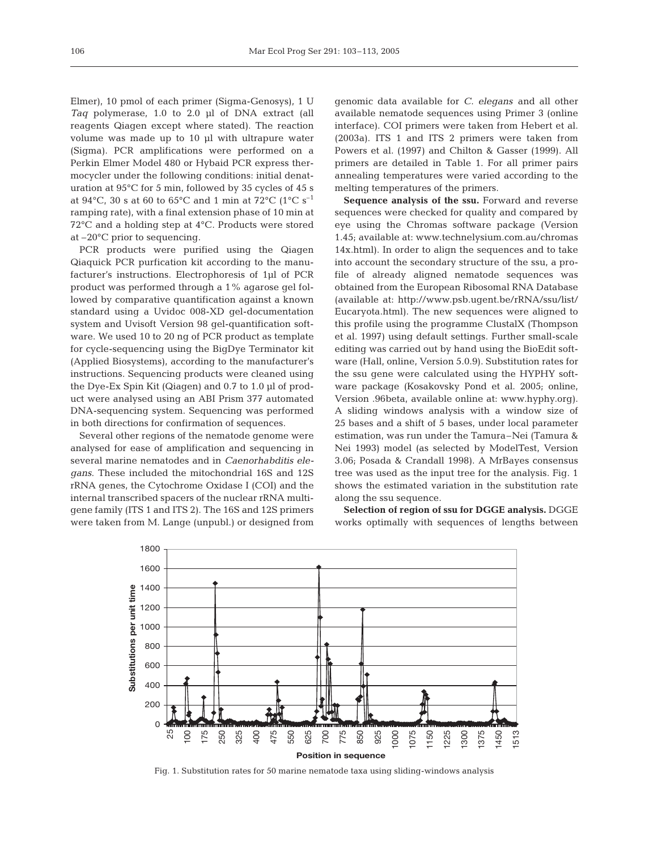Elmer), 10 pmol of each primer (Sigma-Genosys), 1 U *Taq* polymerase, 1.0 to 2.0 µl of DNA extract (all reagents Qiagen except where stated). The reaction volume was made up to 10 µl with ultrapure water (Sigma). PCR amplifications were performed on a Perkin Elmer Model 480 or Hybaid PCR express thermocycler under the following conditions: initial denaturation at 95°C for 5 min, followed by 35 cycles of 45 s at 94 $^{\circ}$ C, 30 s at 60 to 65 $^{\circ}$ C and 1 min at 72 $^{\circ}$ C (1 $^{\circ}$ C s<sup>-1</sup> ramping rate), with a final extension phase of 10 min at 72°C and a holding step at 4°C. Products were stored at –20°C prior to sequencing.

PCR products were purified using the Qiagen Qiaquick PCR purfication kit according to the manufacturer's instructions. Electrophoresis of 1µl of PCR product was performed through a 1% agarose gel followed by comparative quantification against a known standard using a Uvidoc 008-XD gel-documentation system and Uvisoft Version 98 gel-quantification software. We used 10 to 20 ng of PCR product as template for cycle-sequencing using the BigDye Terminator kit (Applied Biosystems), according to the manufacturer's instructions. Sequencing products were cleaned using the Dye-Ex Spin Kit (Qiagen) and 0.7 to 1.0 µl of product were analysed using an ABI Prism 377 automated DNA-sequencing system. Sequencing was performed in both directions for confirmation of sequences.

Several other regions of the nematode genome were analysed for ease of amplification and sequencing in several marine nematodes and in *Caenorhabditis elegans*. These included the mitochondrial 16S and 12S rRNA genes, the Cytochrome Oxidase I (COI) and the internal transcribed spacers of the nuclear rRNA multigene family (ITS 1 and ITS 2). The 16S and 12S primers were taken from M. Lange (unpubl.) or designed from genomic data available for *C. elegans* and all other available nematode sequences using Primer 3 (online interface). COI primers were taken from Hebert et al. (2003a). ITS 1 and ITS 2 primers were taken from Powers et al. (1997) and Chilton & Gasser (1999). All primers are detailed in Table 1. For all primer pairs annealing temperatures were varied according to the melting temperatures of the primers.

Sequence analysis of the ssu. Forward and reverse sequences were checked for quality and compared by eye using the Chromas software package (Version 1.45; available at: www.technelysium.com.au/chromas 14x.html). In order to align the sequences and to take into account the secondary structure of the ssu, a profile of already aligned nematode sequences was obtained from the European Ribosomal RNA Database (available at: http://www.psb.ugent.be/rRNA/ssu/list/ Eucaryota.html). The new sequences were aligned to this profile using the programme ClustalX (Thompson et al. 1997) using default settings. Further small-scale editing was carried out by hand using the BioEdit software (Hall, online, Version 5.0.9). Substitution rates for the ssu gene were calculated using the HYPHY software package (Kosakovsky Pond et al. 2005; online, Version .96beta, available online at: www.hyphy.org). A sliding windows analysis with a window size of 25 bases and a shift of 5 bases, under local parameter estimation, was run under the Tamura–Nei (Tamura & Nei 1993) model (as selected by ModelTest, Version 3.06; Posada & Crandall 1998). A MrBayes consensus tree was used as the input tree for the analysis. Fig. 1 shows the estimated variation in the substitution rate along the ssu sequence.

**Selection of region of ssu for DGGE analysis.** DGGE works optimally with sequences of lengths between



Fig. 1. Substitution rates for 50 marine nematode taxa using sliding-windows analysis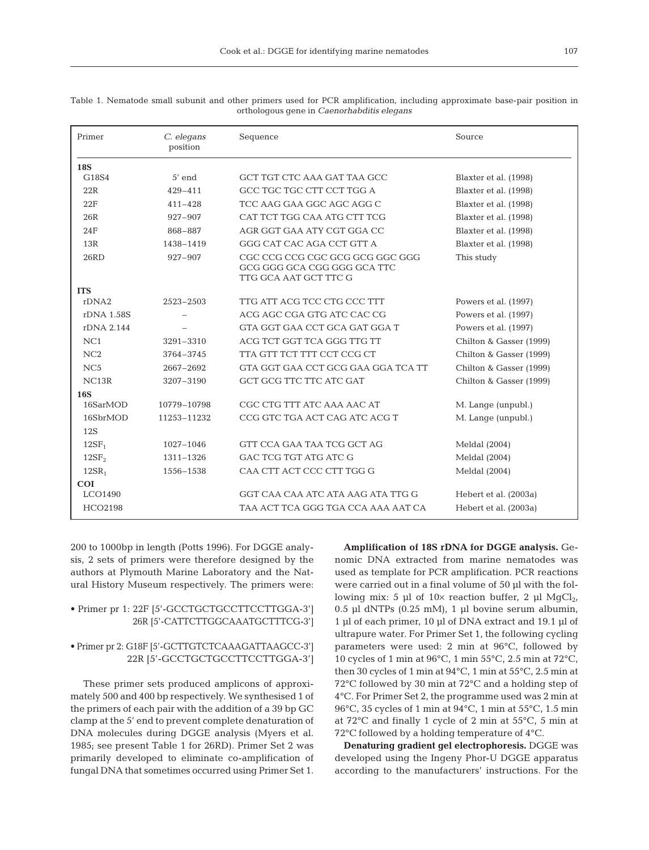|             | P. |
|-------------|----|
| I<br>$\sim$ |    |

| Primer            | C. elegans<br>position | Sequence                                                                                | Source                  |
|-------------------|------------------------|-----------------------------------------------------------------------------------------|-------------------------|
| <b>18S</b>        |                        |                                                                                         |                         |
| G18S4             | $5'$ end               | GCT TGT CTC AAA GAT TAA GCC                                                             | Blaxter et al. (1998)   |
| 22R               | $429 - 411$            | GCC TGC TGC CTT CCT TGG A                                                               | Blaxter et al. (1998)   |
| 22F               | $411 - 428$            | TCC AAG GAA GGC AGC AGG C                                                               | Blaxter et al. (1998)   |
| 26R               | 927-907                | CAT TCT TGG CAA ATG CTT TCG                                                             | Blaxter et al. (1998)   |
| 24F               | 868-887                | AGR GGT GAA ATY CGT GGA CC                                                              | Blaxter et al. (1998)   |
| 13R               | 1438-1419              | GGG CAT CAC AGA CCT GTT A                                                               | Blaxter et al. (1998)   |
| 26RD              | 927-907                | CGC CCG CCG CGC GCG GCG GGC GGC<br>GCG GGG GCA CGG GGG GCA TTC<br>TTG GCA AAT GCT TTC G | This study              |
| <b>ITS</b>        |                        |                                                                                         |                         |
| rDNA2             | 2523-2503              | TTG ATT ACG TCC CTG CCC TTT                                                             | Powers et al. (1997)    |
| rDNA 1.58S        |                        | ACG AGC CGA GTG ATC CAC CG                                                              | Powers et al. (1997)    |
| rDNA 2.144        |                        | GTA GGT GAA CCT GCA GAT GGA T                                                           | Powers et al. (1997)    |
| NC1               | 3291-3310              | ACG TCT GGT TCA GGG TTG TT                                                              | Chilton & Gasser (1999) |
| NC2               | 3764-3745              | TTA GTT TCT TTT CCT CCG CT                                                              | Chilton & Gasser (1999) |
| NC <sub>5</sub>   | 2667-2692              | GTA GGT GAA CCT GCG GAA GGA TCA TT                                                      | Chilton & Gasser (1999) |
| NC <sub>13R</sub> | 3207-3190              | GCT GCG TTC TTC ATC GAT                                                                 | Chilton & Gasser (1999) |
| <b>16S</b>        |                        |                                                                                         |                         |
| 16SarMOD          | 10779-10798            | CGC CTG TTT ATC AAA AAC AT                                                              | M. Lange (unpubl.)      |
| 16SbrMOD          | 11253-11232            | CCG GTC TGA ACT CAG ATC ACG T                                                           | M. Lange (unpubl.)      |
| 12S               |                        |                                                                                         |                         |
| 12SF <sub>1</sub> | 1027-1046              | GTT CCA GAA TAA TCG GCT AG                                                              | Meldal (2004)           |
| 12SF <sub>2</sub> | 1311-1326              | GAC TCG TGT ATG ATC G                                                                   | Meldal (2004)           |
| 12SR <sub>1</sub> | 1556-1538              | CAA CTT ACT CCC CTT TGG G                                                               | Meldal (2004)           |
| <b>COI</b>        |                        |                                                                                         |                         |
| LCO1490           |                        | GGT CAA CAA ATC ATA AAG ATA TTG G                                                       | Hebert et al. (2003a)   |
| HCO2198           |                        | TAA ACT TCA GGG TGA CCA AAA AAT CA                                                      | Hebert et al. (2003a)   |

Table 1. Nematode small subunit and other primers used for PCR amplification, including approximate base-pair position in orthologous gene in *Caenorhabditis elegans*

200 to 1000bp in length (Potts 1996). For DGGE analysis, 2 sets of primers were therefore designed by the authors at Plymouth Marine Laboratory and the Natural History Museum respectively. The primers were:

## • Primer pr 1: 22F [5'-GCCTGCTGCCTTCCTTGGA-3'] 26R [5'-CATTCTTGGCAAATGCTTTCG-3']

## • Primer pr 2: G18F [5'-GCTTGTCTCAAAGATTAAGCC-3'] 22R [5'-GCCTGCTGCCTTCCTTGGA-3']

These primer sets produced amplicons of approximately 500 and 400 bp respectively. We synthesised 1 of the primers of each pair with the addition of a 39 bp GC clamp at the 5' end to prevent complete denaturation of DNA molecules during DGGE analysis (Myers et al. 1985; see present Table 1 for 26RD). Primer Set 2 was primarily developed to eliminate co-amplification of fungal DNA that sometimes occurred using Primer Set 1.

**Amplification of 18S rDNA for DGGE analysis.** Genomic DNA extracted from marine nematodes was used as template for PCR amplification. PCR reactions were carried out in a final volume of 50 µl with the following mix: 5 µl of  $10\times$  reaction buffer, 2 µl MgCl<sub>2</sub>, 0.5 µl dNTPs  $(0.25 \text{ mM})$ , 1 µl bovine serum albumin, 1 µl of each primer, 10 µl of DNA extract and 19.1 µl of ultrapure water. For Primer Set 1, the following cycling parameters were used: 2 min at 96°C, followed by 10 cycles of 1 min at 96°C, 1 min 55°C, 2.5 min at 72°C, then 30 cycles of 1 min at  $94^{\circ}$ C, 1 min at  $55^{\circ}$ C, 2.5 min at 72°C followed by 30 min at 72°C and a holding step of 4°C. For Primer Set 2, the programme used was 2 min at 96°C, 35 cycles of 1 min at 94°C, 1 min at 55°C, 1.5 min at 72°C and finally 1 cycle of 2 min at 55°C, 5 min at 72°C followed by a holding temperature of 4°C.

**Denaturing gradient gel electrophoresis.** DGGE was developed using the Ingeny Phor-U DGGE apparatus according to the manufacturers' instructions. For the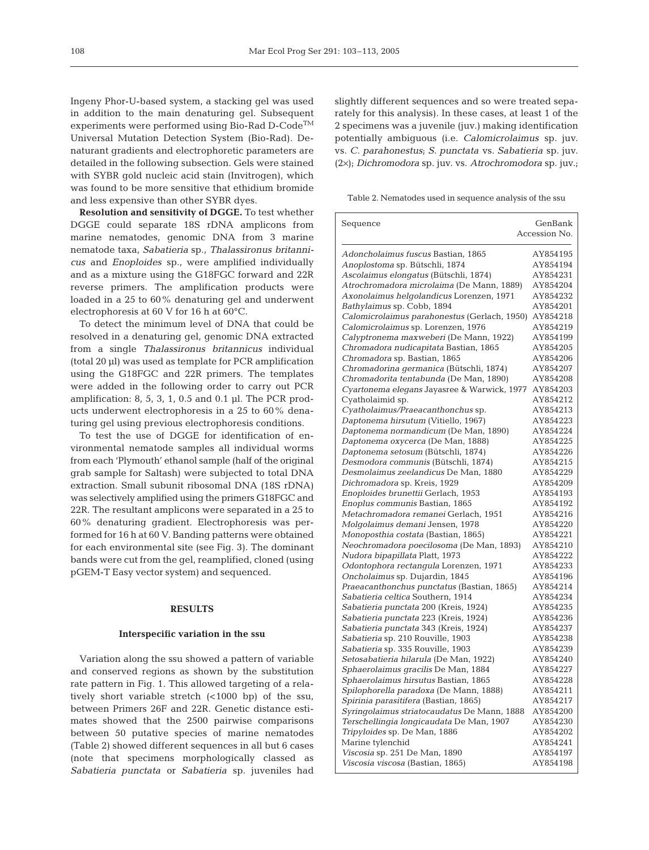Ingeny Phor-U-based system, a stacking gel was used in addition to the main denaturing gel. Subsequent experiments were performed using Bio-Rad D-Code<sup>TM</sup> Universal Mutation Detection System (Bio-Rad). Denaturant gradients and electrophoretic parameters are detailed in the following subsection. Gels were stained with SYBR gold nucleic acid stain (Invitrogen), which was found to be more sensitive that ethidium bromide and less expensive than other SYBR dyes.

**Resolution and sensitivity of DGGE.** To test whether DGGE could separate 18S rDNA amplicons from marine nematodes, genomic DNA from 3 marine nematode taxa, *Sabatieria* sp., *Thalassironus britannicus* and *Enoploides* sp., were amplified individually and as a mixture using the G18FGC forward and 22R reverse primers. The amplification products were loaded in a 25 to 60% denaturing gel and underwent electrophoresis at 60 V for 16 h at 60°C.

To detect the minimum level of DNA that could be resolved in a denaturing gel, genomic DNA extracted from a single *Thalassironus britannicus* individual (total 20 µl) was used as template for PCR amplification using the G18FGC and 22R primers. The templates were added in the following order to carry out PCR amplification: 8, 5, 3, 1, 0.5 and 0.1 µl. The PCR products underwent electrophoresis in a 25 to 60% denaturing gel using previous electrophoresis conditions.

To test the use of DGGE for identification of environmental nematode samples all individual worms from each 'Plymouth' ethanol sample (half of the original grab sample for Saltash) were subjected to total DNA extraction. Small subunit ribosomal DNA (18S rDNA) was selectively amplified using the primers G18FGC and 22R. The resultant amplicons were separated in a 25 to 60% denaturing gradient. Electrophoresis was performed for 16 h at 60 V. Banding patterns were obtained for each environmental site (see Fig. 3). The dominant bands were cut from the gel, reamplified, cloned (using pGEM-T Easy vector system) and sequenced.

### **RESULTS**

#### **Interspecific variation in the ssu**

Variation along the ssu showed a pattern of variable and conserved regions as shown by the substitution rate pattern in Fig. 1. This allowed targeting of a relatively short variable stretch (<1000 bp) of the ssu, between Primers 26F and 22R. Genetic distance estimates showed that the 2500 pairwise comparisons between 50 putative species of marine nematodes (Table 2) showed different sequences in all but 6 cases (note that specimens morphologically classed as *Sabatieria punctata* or *Sabatieria* sp. juveniles had slightly different sequences and so were treated separately for this analysis). In these cases, at least 1 of the 2 specimens was a juvenile (juv.) making identification potentially ambiguous (i.e. *Calomicrolaimus* sp. juv. vs. *C. parahonestus*; *S. punctata* vs. *Sabatieria* sp. juv. (2×); *Dichromodora* sp. juv. vs. *Atrochromodora* sp. juv.;

Table 2. Nematodes used in sequence analysis of the ssu

| Sequence                                     | GenBank       |
|----------------------------------------------|---------------|
|                                              | Accession No. |
|                                              |               |
| Adoncholaimus fuscus Bastian, 1865           | AY854195      |
| Anoplostoma sp. Bütschli, 1874               | AY854194      |
| Ascolaimus elongatus (Bütschli, 1874)        | AY854231      |
| Atrochromadora microlaima (De Mann, 1889)    | AY854204      |
| Axonolaimus helgolandicus Lorenzen, 1971     | AY854232      |
| Bathylaimus sp. Cobb, 1894                   | AY854201      |
| Calomicrolaimus parahonestus (Gerlach, 1950) | AY854218      |
| Calomicrolaimus sp. Lorenzen, 1976           | AY854219      |
| Calyptronema maxweberi (De Mann, 1922)       | AY854199      |
| Chromadora nudicapitata Bastian, 1865        | AY854205      |
| Chromadora sp. Bastian, 1865                 | AY854206      |
| Chromadorina germanica (Bütschli, 1874)      | AY854207      |
| Chromadorita tentabunda (De Man, 1890)       | AY854208      |
| Cyartonema elegans Jayasree & Warwick, 1977  | AY854203      |
| Cyatholaimid sp.                             | AY854212      |
| Cyatholaimus/Praeacanthonchus sp.            | AY854213      |
| Daptonema hirsutum (Vitiello, 1967)          | AY854223      |
| Daptonema normandicum (De Man, 1890)         | AY854224      |
| Daptonema oxycerca (De Man, 1888)            | AY854225      |
| Daptonema setosum (Bütschli, 1874)           | AY854226      |
| Desmodora communis (Bütschli, 1874)          | AY854215      |
| Desmolaimus zeelandicus De Man, 1880         | AY854229      |
| Dichromadora sp. Kreis, 1929                 | AY854209      |
| Enoploides brunettii Gerlach, 1953           | AY854193      |
| Enoplus communis Bastian, 1865               | AY854192      |
| Metachromadora remanei Gerlach, 1951         | AY854216      |
| Molgolaimus demani Jensen, 1978              | AY854220      |
| Monoposthia costata (Bastian, 1865)          | AY854221      |
| Neochromadora poecilosoma (De Man, 1893)     | AY854210      |
| Nudora bipapillata Platt, 1973               | AY854222      |
| Odontophora rectangula Lorenzen, 1971        | AY854233      |
| Oncholaimus sp. Dujardin, 1845               | AY854196      |
| Praeacanthonchus punctatus (Bastian, 1865)   | AY854214      |
| Sabatieria celtica Southern, 1914            | AY854234      |
| Sabatieria punctata 200 (Kreis, 1924)        | AY854235      |
| Sabatieria punctata 223 (Kreis, 1924)        | AY854236      |
| Sabatieria punctata 343 (Kreis, 1924)        | AY854237      |
| Sabatieria sp. 210 Rouville, 1903            | AY854238      |
| Sabatieria sp. 335 Rouville, 1903            | AY854239      |
| Setosabatieria hilarula (De Man, 1922)       | AY854240      |
| Sphaerolaimus gracilis De Man, 1884          | AY854227      |
| Sphaerolaimus hirsutus Bastian, 1865         | AY854228      |
| Spilophorella paradoxa (De Mann, 1888)       | AY854211      |
| Spirinia parasitifera (Bastian, 1865)        | AY854217      |
| Syringolaimus striatocaudatus De Mann, 1888  | AY854200      |
| Terschellingia longicaudata De Man, 1907     | AY854230      |
| Tripyloides sp. De Man, 1886                 | AY854202      |
| Marine tylenchid                             | AY854241      |
| Viscosia sp. 251 De Man, 1890                | AY854197      |
| Viscosia viscosa (Bastian, 1865)             | AY854198      |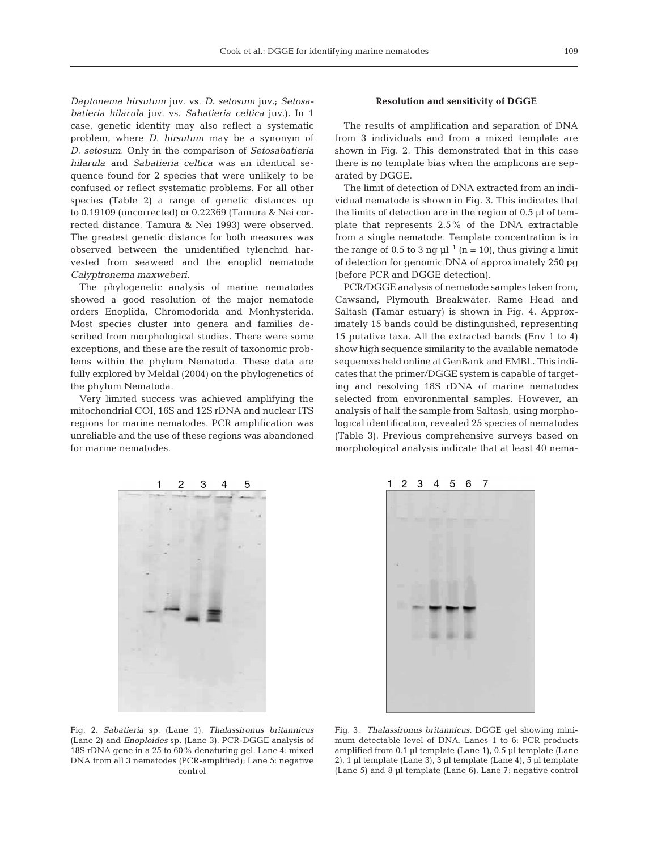*Daptonema hirsutum* juv. vs. *D. setosum* juv.; *Setosabatieria hilarula* juv. vs. *Sabatieria celtica* juv.). In 1 case, genetic identity may also reflect a systematic problem, where *D. hirsutum* may be a synonym of *D. setosum*. Only in the comparison of *Setosabatieria hilarula* and *Sabatieria celtica* was an identical sequence found for 2 species that were unlikely to be confused or reflect systematic problems. For all other species (Table 2) a range of genetic distances up to 0.19109 (uncorrected) or 0.22369 (Tamura & Nei corrected distance, Tamura & Nei 1993) were observed. The greatest genetic distance for both measures was observed between the unidentified tylenchid harvested from seaweed and the enoplid nematode *Calyptronema maxweberi*.

The phylogenetic analysis of marine nematodes showed a good resolution of the major nematode orders Enoplida, Chromodorida and Monhysterida. Most species cluster into genera and families described from morphological studies. There were some exceptions, and these are the result of taxonomic problems within the phylum Nematoda. These data are fully explored by Meldal (2004) on the phylogenetics of the phylum Nematoda.

Very limited success was achieved amplifying the mitochondrial COI, 16S and 12S rDNA and nuclear ITS regions for marine nematodes. PCR amplification was unreliable and the use of these regions was abandoned for marine nematodes.

## **Resolution and sensitivity of DGGE**

The results of amplification and separation of DNA from 3 individuals and from a mixed template are shown in Fig. 2. This demonstrated that in this case there is no template bias when the amplicons are separated by DGGE.

The limit of detection of DNA extracted from an individual nematode is shown in Fig. 3. This indicates that the limits of detection are in the region of 0.5 µl of template that represents 2.5% of the DNA extractable from a single nematode. Template concentration is in the range of 0.5 to 3 ng  $\mu$ <sup>-1</sup> (n = 10), thus giving a limit of detection for genomic DNA of approximately 250 pg (before PCR and DGGE detection).

PCR/DGGE analysis of nematode samples taken from, Cawsand, Plymouth Breakwater, Rame Head and Saltash (Tamar estuary) is shown in Fig. 4. Approximately 15 bands could be distinguished, representing 15 putative taxa. All the extracted bands (Env 1 to 4) show high sequence similarity to the available nematode sequences held online at GenBank and EMBL. This indicates that the primer/DGGE system is capable of targeting and resolving 18S rDNA of marine nematodes selected from environmental samples. However, an analysis of half the sample from Saltash, using morphological identification, revealed 25 species of nematodes (Table 3). Previous comprehensive surveys based on morphological analysis indicate that at least 40 nema-





Fig. 2. *Sabatieria* sp. (Lane 1), *Thalassironus britannicus* (Lane 2) and *Enoploides* sp. (Lane 3). PCR-DGGE analysis of 18S rDNA gene in a 25 to 60% denaturing gel. Lane 4: mixed DNA from all 3 nematodes (PCR-amplified); Lane 5: negative control

Fig. 3. *Thalassironus britannicus*. DGGE gel showing minimum detectable level of DNA. Lanes 1 to 6: PCR products amplified from 0.1 µl template (Lane 1), 0.5 µl template (Lane 2), 1 µl template (Lane 3), 3 µl template (Lane 4), 5 µl template (Lane 5) and 8 µl template (Lane 6). Lane 7: negative control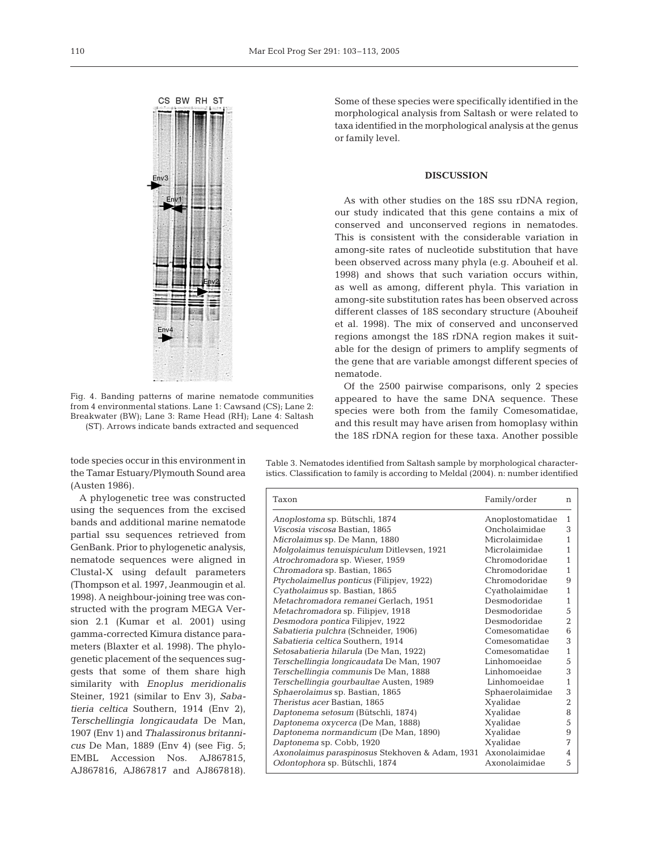

Fig. 4. Banding patterns of marine nematode communities from 4 environmental stations. Lane 1: Cawsand (CS); Lane 2: Breakwater (BW); Lane 3: Rame Head (RH); Lane 4: Saltash (ST). Arrows indicate bands extracted and sequenced

tode species occur in this environment in the Tamar Estuary/Plymouth Sound area (Austen 1986).

A phylogenetic tree was constructed using the sequences from the excised bands and additional marine nematode partial ssu sequences retrieved from GenBank. Prior to phylogenetic analysis, nematode sequences were aligned in Clustal-X using default parameters (Thompson et al. 1997, Jeanmougin et al. 1998). A neighbour-joining tree was constructed with the program MEGA Version 2.1 (Kumar et al. 2001) using gamma-corrected Kimura distance parameters (Blaxter et al. 1998). The phylogenetic placement of the sequences suggests that some of them share high similarity with *Enoplus meridionalis* Steiner, 1921 (similar to Env 3), *Sabatieria celtica* Southern, 1914 (Env 2), *Terschellingia longicaudata* De Man, 1907 (Env 1) and *Thalassironus britannicus* De Man, 1889 (Env 4) (see Fig. 5; EMBL Accession Nos. AJ867815, AJ867816, AJ867817 and AJ867818).

Some of these species were specifically identified in the morphological analysis from Saltash or were related to taxa identified in the morphological analysis at the genus or family level.

### **DISCUSSION**

As with other studies on the 18S ssu rDNA region, our study indicated that this gene contains a mix of conserved and unconserved regions in nematodes. This is consistent with the considerable variation in among-site rates of nucleotide substitution that have been observed across many phyla (e.g. Abouheif et al. 1998) and shows that such variation occurs within, as well as among, different phyla. This variation in among-site substitution rates has been observed across different classes of 18S secondary structure (Abouheif et al. 1998). The mix of conserved and unconserved regions amongst the 18S rDNA region makes it suitable for the design of primers to amplify segments of the gene that are variable amongst different species of nematode.

Of the 2500 pairwise comparisons, only 2 species appeared to have the same DNA sequence. These species were both from the family Comesomatidae, and this result may have arisen from homoplasy within the 18S rDNA region for these taxa. Another possible

Table 3. Nematodes identified from Saltash sample by morphological characteristics. Classification to family is according to Meldal (2004). n: number identified

| Taxon                                            | Family/order     | n              |
|--------------------------------------------------|------------------|----------------|
| Anoplostoma sp. Bütschli, 1874                   | Anoplostomatidae | $\mathbf{1}$   |
| Viscosia viscosa Bastian, 1865                   | Oncholaimidae    | 3              |
| Microlaimus sp. De Mann, 1880                    | Microlaimidae    | $\mathbf{1}$   |
| Molgolaimus tenuispiculum Ditlevsen, 1921        | Microlaimidae    | 1              |
| Atrochromadora sp. Wieser, 1959                  | Chromodoridae    | $\mathbf{1}$   |
| Chromadora sp. Bastian, 1865                     | Chromodoridae    | $\mathbf{1}$   |
| <i>Ptycholaimellus ponticus</i> (Filipjev, 1922) | Chromodoridae    | 9              |
| Cyatholaimus sp. Bastian, 1865                   | Cyatholaimidae   | $\mathbf{1}$   |
| Metachromadora remanei Gerlach, 1951             | Desmodoridae     | 1              |
| Metachromadora sp. Filipjev, 1918                | Desmodoridae     | 5              |
| Desmodora pontica Filipjev, 1922                 | Desmodoridae     | $\overline{2}$ |
| Sabatieria pulchra (Schneider, 1906)             | Comesomatidae    | 6              |
| Sabatieria celtica Southern, 1914                | Comesomatidae    | 3              |
| Setosabatieria hilarula (De Man, 1922)           | Comesomatidae    | $\mathbf{1}$   |
| Terschellingia longicaudata De Man, 1907         | Linhomoeidae     | 5              |
| Terschellingia communis De Man, 1888             | Linhomoeidae     | 3              |
| Terschellingia gourbaultae Austen, 1989          | Linhomoeidae     | $\mathbf{1}$   |
| Sphaerolaimus sp. Bastian, 1865                  | Sphaerolaimidae  | 3              |
| Theristus acer Bastian, 1865                     | Xyalidae         | $\overline{2}$ |
| Daptonema setosum (Bütschli, 1874)               | Xyalidae         | 8              |
| Daptonema oxycerca (De Man, 1888)                | Xyalidae         | 5              |
| Daptonema normandicum (De Man, 1890)             | Xyalidae         | 9              |
| Daptonema sp. Cobb, 1920                         | Xyalidae         | 7              |
| Axonolaimus paraspinosus Stekhoven & Adam, 1931  | Axonolaimidae    | 4              |
| Odontophora sp. Bütschli, 1874                   | Axonolaimidae    | 5              |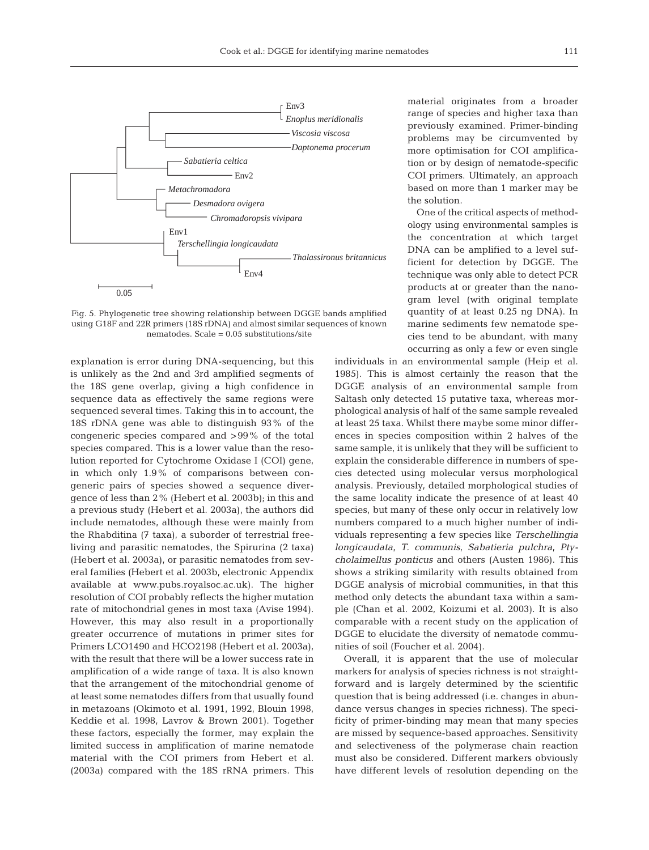

Fig. 5. Phylogenetic tree showing relationship between DGGE bands amplified using G18F and 22R primers (18S rDNA) and almost similar sequences of known nematodes. Scale = 0.05 substitutions/site

explanation is error during DNA-sequencing, but this is unlikely as the 2nd and 3rd amplified segments of the 18S gene overlap, giving a high confidence in sequence data as effectively the same regions were sequenced several times. Taking this in to account, the 18S rDNA gene was able to distinguish 93% of the congeneric species compared and >99% of the total species compared. This is a lower value than the resolution reported for Cytochrome Oxidase I (COI) gene, in which only 1.9% of comparisons between congeneric pairs of species showed a sequence divergence of less than 2% (Hebert et al. 2003b); in this and a previous study (Hebert et al. 2003a), the authors did include nematodes, although these were mainly from the Rhabditina (7 taxa), a suborder of terrestrial freeliving and parasitic nematodes, the Spirurina (2 taxa) (Hebert et al. 2003a), or parasitic nematodes from several families (Hebert et al. 2003b, electronic Appendix available at www.pubs.royalsoc.ac.uk). The higher resolution of COI probably reflects the higher mutation rate of mitochondrial genes in most taxa (Avise 1994). However, this may also result in a proportionally greater occurrence of mutations in primer sites for Primers LCO1490 and HCO2198 (Hebert et al. 2003a), with the result that there will be a lower success rate in amplification of a wide range of taxa. It is also known that the arrangement of the mitochondrial genome of at least some nematodes differs from that usually found in metazoans (Okimoto et al. 1991, 1992, Blouin 1998, Keddie et al. 1998, Lavrov & Brown 2001). Together these factors, especially the former, may explain the limited success in amplification of marine nematode material with the COI primers from Hebert et al. (2003a) compared with the 18S rRNA primers. This

material originates from a broader range of species and higher taxa than previously examined. Primer-binding problems may be circumvented by more optimisation for COI amplification or by design of nematode-specific COI primers. Ultimately, an approach based on more than 1 marker may be the solution.

One of the critical aspects of methodology using environmental samples is the concentration at which target DNA can be amplified to a level sufficient for detection by DGGE. The technique was only able to detect PCR products at or greater than the nanogram level (with original template quantity of at least 0.25 ng DNA). In marine sediments few nematode species tend to be abundant, with many occurring as only a few or even single

individuals in an environmental sample (Heip et al. 1985). This is almost certainly the reason that the DGGE analysis of an environmental sample from Saltash only detected 15 putative taxa, whereas morphological analysis of half of the same sample revealed at least 25 taxa. Whilst there maybe some minor differences in species composition within 2 halves of the same sample, it is unlikely that they will be sufficient to explain the considerable difference in numbers of species detected using molecular versus morphological analysis. Previously, detailed morphological studies of the same locality indicate the presence of at least 40 species, but many of these only occur in relatively low numbers compared to a much higher number of individuals representing a few species like *Terschellingia longicaudata*, *T. communis*, *Sabatieria pulchra*, *Ptycholaimellus ponticus* and others (Austen 1986). This shows a striking similarity with results obtained from DGGE analysis of microbial communities, in that this method only detects the abundant taxa within a sample (Chan et al. 2002, Koizumi et al. 2003). It is also comparable with a recent study on the application of DGGE to elucidate the diversity of nematode communities of soil (Foucher et al. 2004).

Overall, it is apparent that the use of molecular markers for analysis of species richness is not straightforward and is largely determined by the scientific question that is being addressed (i.e. changes in abundance versus changes in species richness). The specificity of primer-binding may mean that many species are missed by sequence-based approaches. Sensitivity and selectiveness of the polymerase chain reaction must also be considered. Different markers obviously have different levels of resolution depending on the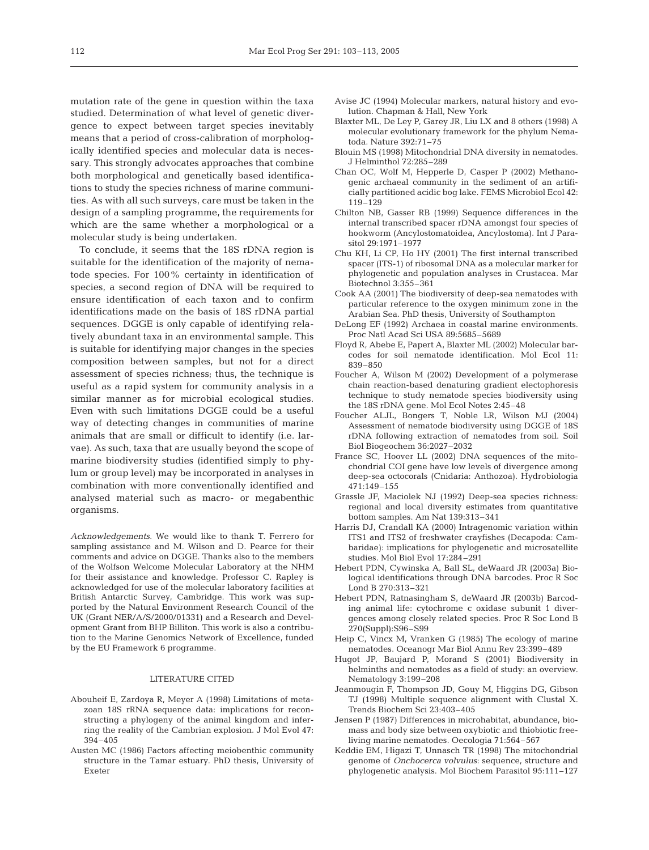mutation rate of the gene in question within the taxa studied. Determination of what level of genetic divergence to expect between target species inevitably means that a period of cross-calibration of morphologically identified species and molecular data is necessary. This strongly advocates approaches that combine both morphological and genetically based identifications to study the species richness of marine communities. As with all such surveys, care must be taken in the design of a sampling programme, the requirements for which are the same whether a morphological or a molecular study is being undertaken.

To conclude, it seems that the 18S rDNA region is suitable for the identification of the majority of nematode species. For 100% certainty in identification of species, a second region of DNA will be required to ensure identification of each taxon and to confirm identifications made on the basis of 18S rDNA partial sequences. DGGE is only capable of identifying relatively abundant taxa in an environmental sample. This is suitable for identifying major changes in the species composition between samples, but not for a direct assessment of species richness; thus, the technique is useful as a rapid system for community analysis in a similar manner as for microbial ecological studies. Even with such limitations DGGE could be a useful way of detecting changes in communities of marine animals that are small or difficult to identify (i.e. larvae). As such, taxa that are usually beyond the scope of marine biodiversity studies (identified simply to phylum or group level) may be incorporated in analyses in combination with more conventionally identified and analysed material such as macro- or megabenthic organisms.

*Acknowledgements.* We would like to thank T. Ferrero for sampling assistance and M. Wilson and D. Pearce for their comments and advice on DGGE. Thanks also to the members of the Wolfson Welcome Molecular Laboratory at the NHM for their assistance and knowledge. Professor C. Rapley is acknowledged for use of the molecular laboratory facilities at British Antarctic Survey, Cambridge. This work was supported by the Natural Environment Research Council of the UK (Grant NER/A/S/2000/01331) and a Research and Development Grant from BHP Billiton. This work is also a contribution to the Marine Genomics Network of Excellence, funded by the EU Framework 6 programme.

#### LITERATURE CITED

- Abouheif E, Zardoya R, Meyer A (1998) Limitations of metazoan 18S rRNA sequence data: implications for reconstructing a phylogeny of the animal kingdom and inferring the reality of the Cambrian explosion. J Mol Evol 47: 394–405
- Austen MC (1986) Factors affecting meiobenthic community structure in the Tamar estuary. PhD thesis, University of Exeter
- Avise JC (1994) Molecular markers, natural history and evolution. Chapman & Hall, New York
- Blaxter ML, De Ley P, Garey JR, Liu LX and 8 others (1998) A molecular evolutionary framework for the phylum Nematoda. Nature 392:71–75
- Blouin MS (1998) Mitochondrial DNA diversity in nematodes. J Helminthol 72:285–289
- Chan OC, Wolf M, Hepperle D, Casper P (2002) Methanogenic archaeal community in the sediment of an artificially partitioned acidic bog lake. FEMS Microbiol Ecol 42: 119–129
- Chilton NB, Gasser RB (1999) Sequence differences in the internal transcribed spacer rDNA amongst four species of hookworm (Ancylostomatoidea, Ancylostoma). Int J Parasitol 29:1971–1977
- Chu KH, Li CP, Ho HY (2001) The first internal transcribed spacer (ITS-1) of ribosomal DNA as a molecular marker for phylogenetic and population analyses in Crustacea. Mar Biotechnol 3:355–361
- Cook AA (2001) The biodiversity of deep-sea nematodes with particular reference to the oxygen minimum zone in the Arabian Sea. PhD thesis, University of Southampton
- DeLong EF (1992) Archaea in coastal marine environments. Proc Natl Acad Sci USA 89:5685–5689
- Floyd R, Abebe E, Papert A, Blaxter ML (2002) Molecular barcodes for soil nematode identification. Mol Ecol 11: 839–850
- Foucher A, Wilson M (2002) Development of a polymerase chain reaction-based denaturing gradient electophoresis technique to study nematode species biodiversity using the 18S rDNA gene. Mol Ecol Notes 2:45–48
- Foucher ALJL, Bongers T, Noble LR, Wilson MJ (2004) Assessment of nematode biodiversity using DGGE of 18S rDNA following extraction of nematodes from soil. Soil Biol Biogeochem 36:2027–2032
- France SC, Hoover LL (2002) DNA sequences of the mitochondrial COI gene have low levels of divergence among deep-sea octocorals (Cnidaria: Anthozoa). Hydrobiologia 471:149–155
- Grassle JF, Maciolek NJ (1992) Deep-sea species richness: regional and local diversity estimates from quantitative bottom samples. Am Nat 139:313–341
- Harris DJ, Crandall KA (2000) Intragenomic variation within ITS1 and ITS2 of freshwater crayfishes (Decapoda: Cambaridae): implications for phylogenetic and microsatellite studies. Mol Biol Evol 17:284–291
- Hebert PDN, Cywinska A, Ball SL, deWaard JR (2003a) Biological identifications through DNA barcodes. Proc R Soc Lond B 270:313–321
- Hebert PDN, Ratnasingham S, deWaard JR (2003b) Barcoding animal life: cytochrome c oxidase subunit 1 divergences among closely related species. Proc R Soc Lond B 270(Suppl):S96–S99
- Heip C, Vincx M, Vranken G (1985) The ecology of marine nematodes. Oceanogr Mar Biol Annu Rev 23:399–489
- Hugot JP, Baujard P, Morand S (2001) Biodiversity in helminths and nematodes as a field of study: an overview. Nematology 3:199–208
- Jeanmougin F, Thompson JD, Gouy M, Higgins DG, Gibson TJ (1998) Multiple sequence alignment with Clustal X. Trends Biochem Sci 23:403–405
- Jensen P (1987) Differences in microhabitat, abundance, biomass and body size between oxybiotic and thiobiotic freeliving marine nematodes. Oecologia 71:564–567
- Keddie EM, Higazi T, Unnasch TR (1998) The mitochondrial genome of *Onchocerca volvulus*: sequence, structure and phylogenetic analysis. Mol Biochem Parasitol 95:111–127